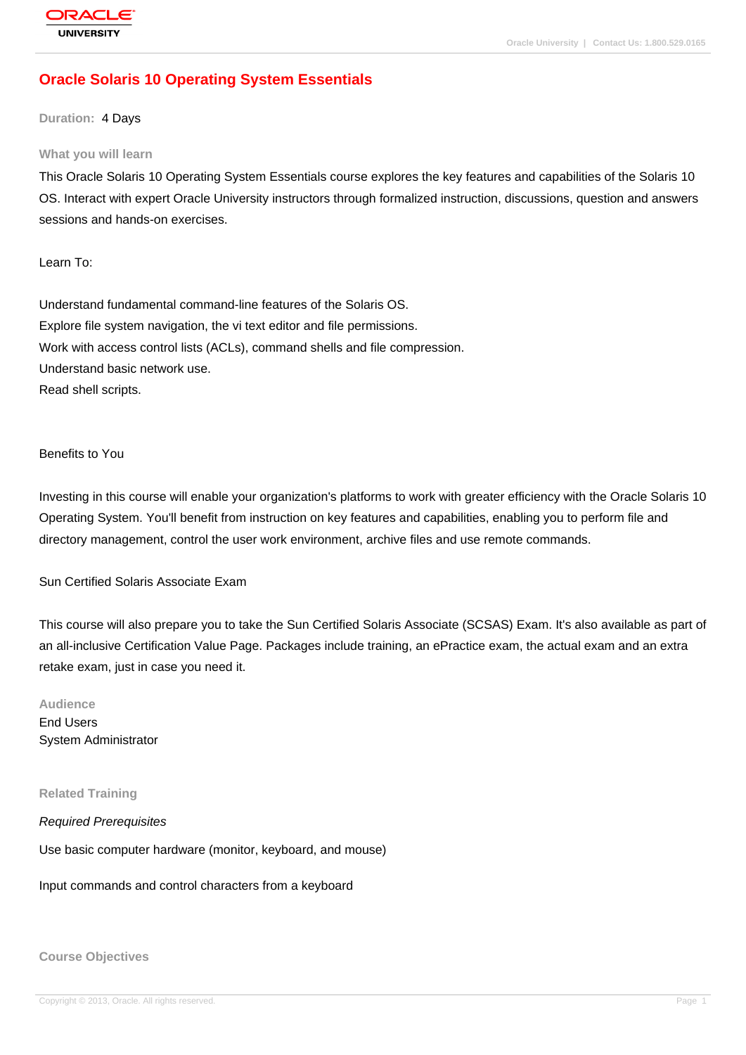# **[Oracle Solaris](http://education.oracle.com/pls/web_prod-plq-dad/db_pages.getpage?page_id=3) 10 Operating System Essentials**

#### **Duration:** 4 Days

#### **What you will learn**

This Oracle Solaris 10 Operating System Essentials course explores the key features and capabilities of the Solaris 10 OS. Interact with expert Oracle University instructors through formalized instruction, discussions, question and answers sessions and hands-on exercises.

Learn To:

Understand fundamental command-line features of the Solaris OS. Explore file system navigation, the vi text editor and file permissions. Work with access control lists (ACLs), command shells and file compression. Understand basic network use. Read shell scripts.

#### Benefits to You

Investing in this course will enable your organization's platforms to work with greater efficiency with the Oracle Solaris 10 Operating System. You'll benefit from instruction on key features and capabilities, enabling you to perform file and directory management, control the user work environment, archive files and use remote commands.

Sun Certified Solaris Associate Exam

This course will also prepare you to take the Sun Certified Solaris Associate (SCSAS) Exam. It's also available as part of an all-inclusive Certification Value Page. Packages include training, an ePractice exam, the actual exam and an extra retake exam, just in case you need it.

**Audience** End Users System Administrator

#### **Related Training**

Required Prerequisites

Use basic computer hardware (monitor, keyboard, and mouse)

Input commands and control characters from a keyboard

**Course Objectives**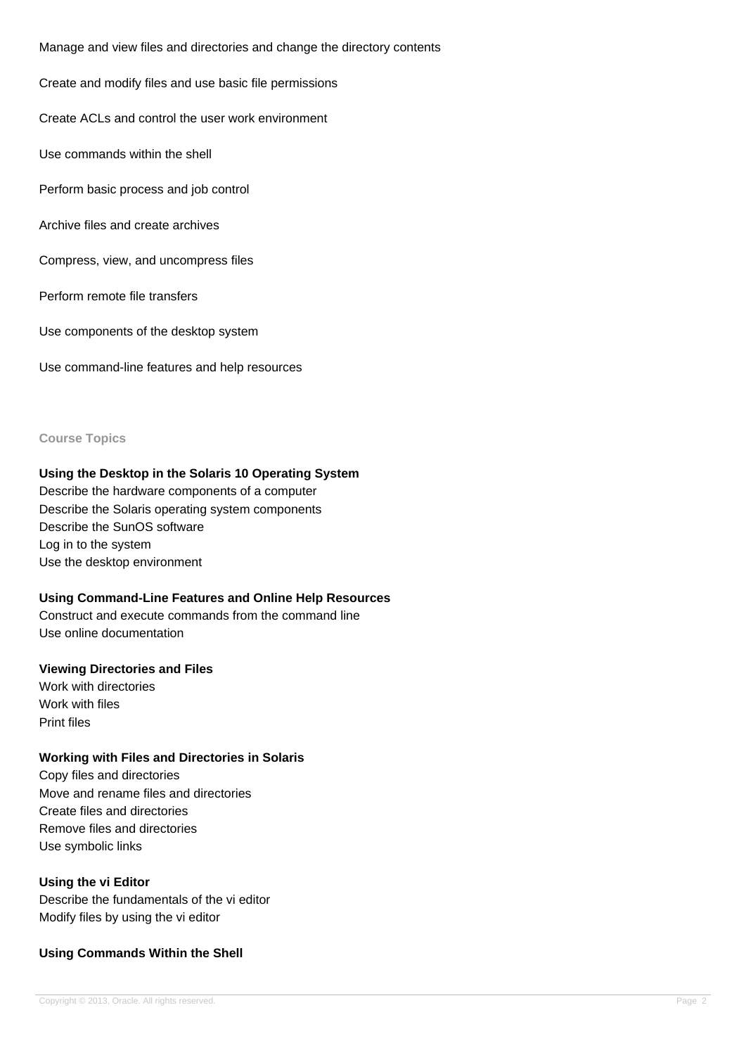Manage and view files and directories and change the directory contents

Create and modify files and use basic file permissions

Create ACLs and control the user work environment

Use commands within the shell

Perform basic process and job control

Archive files and create archives

Compress, view, and uncompress files

Perform remote file transfers

Use components of the desktop system

Use command-line features and help resources

#### **Course Topics**

### **Using the Desktop in the Solaris 10 Operating System**

Describe the hardware components of a computer Describe the Solaris operating system components Describe the SunOS software Log in to the system Use the desktop environment

### **Using Command-Line Features and Online Help Resources**

Construct and execute commands from the command line Use online documentation

### **Viewing Directories and Files**

Work with directories Work with files Print files

### **Working with Files and Directories in Solaris**

Copy files and directories Move and rename files and directories Create files and directories Remove files and directories Use symbolic links

### **Using the vi Editor**

Describe the fundamentals of the vi editor Modify files by using the vi editor

### **Using Commands Within the Shell**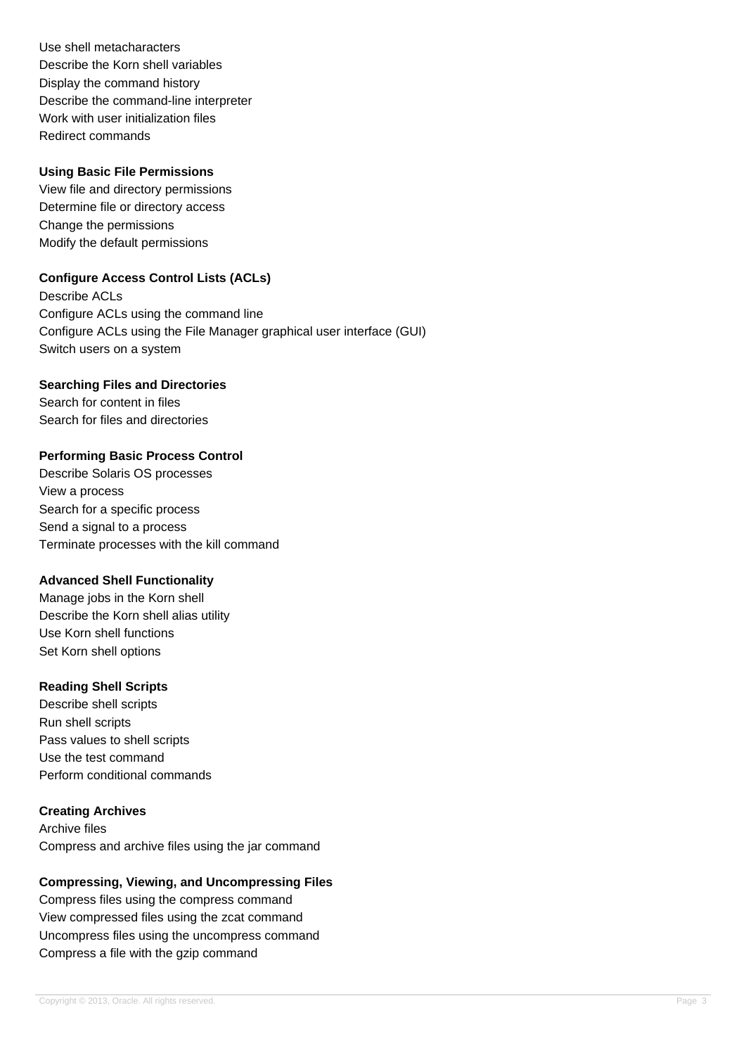Use shell metacharacters Describe the Korn shell variables Display the command history Describe the command-line interpreter Work with user initialization files Redirect commands

### **Using Basic File Permissions**

View file and directory permissions Determine file or directory access Change the permissions Modify the default permissions

# **Configure Access Control Lists (ACLs)**

Describe ACLs Configure ACLs using the command line Configure ACLs using the File Manager graphical user interface (GUI) Switch users on a system

## **Searching Files and Directories**

Search for content in files Search for files and directories

## **Performing Basic Process Control**

Describe Solaris OS processes View a process Search for a specific process Send a signal to a process Terminate processes with the kill command

## **Advanced Shell Functionality**

Manage jobs in the Korn shell Describe the Korn shell alias utility Use Korn shell functions Set Korn shell options

### **Reading Shell Scripts**

Describe shell scripts Run shell scripts Pass values to shell scripts Use the test command Perform conditional commands

### **Creating Archives**

Archive files Compress and archive files using the jar command

## **Compressing, Viewing, and Uncompressing Files**

Compress files using the compress command View compressed files using the zcat command Uncompress files using the uncompress command Compress a file with the gzip command